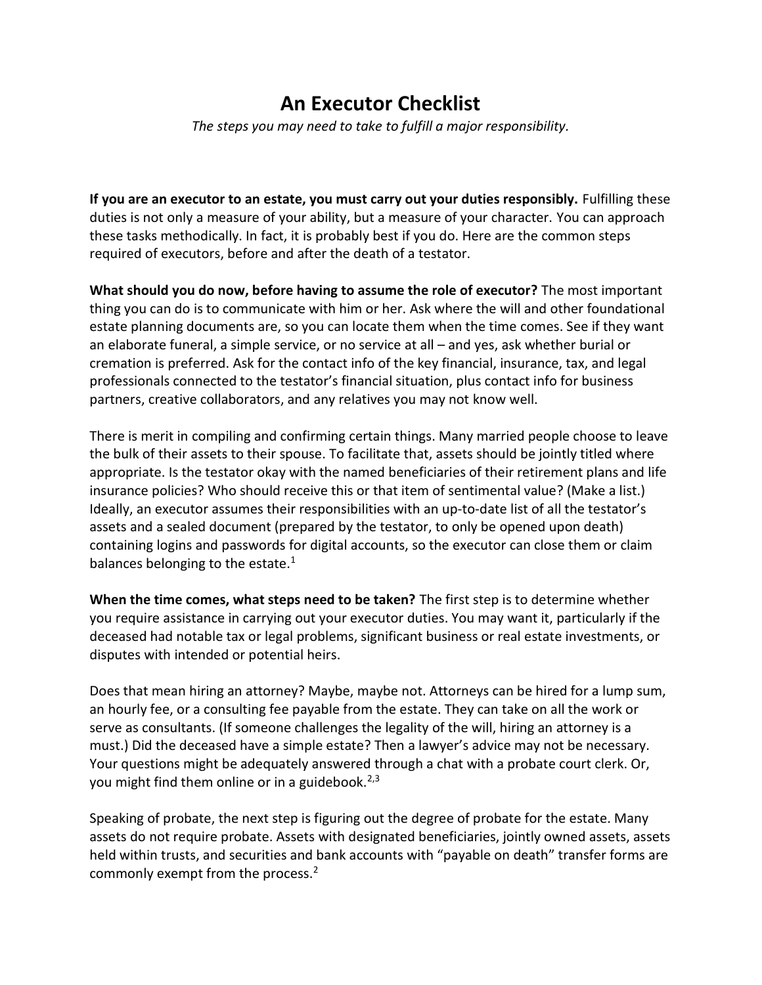## An Executor Checklist

The steps you may need to take to fulfill a major responsibility.

If you are an executor to an estate, you must carry out your duties responsibly. Fulfilling these duties is not only a measure of your ability, but a measure of your character. You can approach these tasks methodically. In fact, it is probably best if you do. Here are the common steps required of executors, before and after the death of a testator.

What should you do now, before having to assume the role of executor? The most important thing you can do is to communicate with him or her. Ask where the will and other foundational estate planning documents are, so you can locate them when the time comes. See if they want an elaborate funeral, a simple service, or no service at all – and yes, ask whether burial or cremation is preferred. Ask for the contact info of the key financial, insurance, tax, and legal professionals connected to the testator's financial situation, plus contact info for business partners, creative collaborators, and any relatives you may not know well.

There is merit in compiling and confirming certain things. Many married people choose to leave the bulk of their assets to their spouse. To facilitate that, assets should be jointly titled where appropriate. Is the testator okay with the named beneficiaries of their retirement plans and life insurance policies? Who should receive this or that item of sentimental value? (Make a list.) Ideally, an executor assumes their responsibilities with an up-to-date list of all the testator's assets and a sealed document (prepared by the testator, to only be opened upon death) containing logins and passwords for digital accounts, so the executor can close them or claim balances belonging to the estate. $1$ 

When the time comes, what steps need to be taken? The first step is to determine whether you require assistance in carrying out your executor duties. You may want it, particularly if the deceased had notable tax or legal problems, significant business or real estate investments, or disputes with intended or potential heirs.

Does that mean hiring an attorney? Maybe, maybe not. Attorneys can be hired for a lump sum, an hourly fee, or a consulting fee payable from the estate. They can take on all the work or serve as consultants. (If someone challenges the legality of the will, hiring an attorney is a must.) Did the deceased have a simple estate? Then a lawyer's advice may not be necessary. Your questions might be adequately answered through a chat with a probate court clerk. Or, you might find them online or in a guidebook.<sup>2,3</sup>

Speaking of probate, the next step is figuring out the degree of probate for the estate. Many assets do not require probate. Assets with designated beneficiaries, jointly owned assets, assets held within trusts, and securities and bank accounts with "payable on death" transfer forms are commonly exempt from the process.2